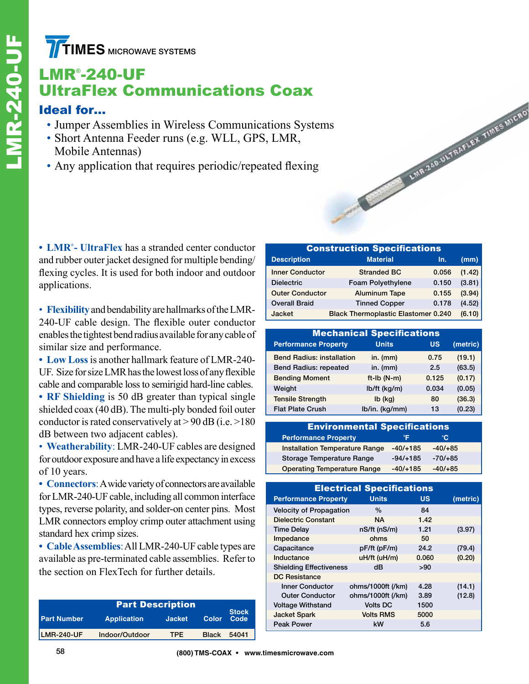**TIMES** MICROWAVE SYSTEMS

# LMR® -240-UF UltraFlex Communications Coax

### Ideal for…

- Jumper Assemblies in Wireless Communications Systems
- Short Antenna Feeder runs (e.g. WLL, GPS, LMR, Mobile Antennas)
- Any application that requires periodic/repeated flexing

**• LMR**® **- UltraFlex** has a stranded center conductor and rubber outer jacket designed for multiple bending/ flexing cycles. It is used for both indoor and outdoor applications.

• **Flexibility** and bendability are hallmarks of the LMR-240-UF cable design. The flexible outer conductor enables the tightest bend radius available for any cable of similar size and performance.

**• Low Loss**is another hallmark feature of LMR-240- UF. Size for size LMR has the lowest loss of any flexible cable and comparable loss to semirigid hard-line cables.

**• RF Shielding** is 50 dB greater than typical single shielded coax (40 dB). The multi-ply bonded foil outer conductor is rated conservatively at  $> 90$  dB (i.e.  $> 180$ ) dB between two adjacent cables).

• **Weatherability**: LMR-240-UF cables are designed for outdoor exposure and have a life expectancy in excess of 10 years.

**• Connectors**: A wide variety of connectors are available for LMR-240-UF cable, including all common interface types, reverse polarity, and solder-on center pins. Most LMR connectors employ crimp outer attachment using standard hex crimp sizes.

**• Cable Assemblies**: All LMR-240-UF cable types are available as pre-terminated cable assemblies. Refer to the section on FlexTech for further details.

| <b>Part Description</b> |                    |               |              |                      |  |  |
|-------------------------|--------------------|---------------|--------------|----------------------|--|--|
| <b>Part Number</b>      | <b>Application</b> | <b>Jacket</b> | <b>Color</b> | <b>Stock</b><br>Code |  |  |
| <b>LMR-240-UF</b>       | Indoor/Outdoor     | TPF.          | <b>Black</b> | 54041                |  |  |

| <b>Construction Specifications</b> |                                            |       |        |  |  |  |  |
|------------------------------------|--------------------------------------------|-------|--------|--|--|--|--|
| <b>Description</b>                 | <b>Material</b>                            | In.   | (mm)   |  |  |  |  |
| <b>Inner Conductor</b>             | <b>Stranded BC</b>                         | 0.056 | (1.42) |  |  |  |  |
| <b>Dielectric</b>                  | <b>Foam Polyethylene</b>                   | 0.150 | (3.81) |  |  |  |  |
| <b>Outer Conductor</b>             | <b>Aluminum Tape</b>                       | 0.155 | (3.94) |  |  |  |  |
| <b>Overall Braid</b>               | <b>Tinned Copper</b>                       | 0.178 | (4.52) |  |  |  |  |
| Jacket                             | <b>Black Thermoplastic Elastomer 0.240</b> |       | (6.10) |  |  |  |  |

LMR-240-ULTRAFLEX TIMES MICRO

| <b>Mechanical Specifications</b> |                |           |          |  |  |  |  |
|----------------------------------|----------------|-----------|----------|--|--|--|--|
| <b>Performance Property</b>      | <b>Units</b>   | <b>US</b> | (metric) |  |  |  |  |
| <b>Bend Radius: installation</b> | in. $(mm)$     | 0.75      | (19.1)   |  |  |  |  |
| <b>Bend Radius: repeated</b>     | in. $(mm)$     | 2.5       | (63.5)   |  |  |  |  |
| <b>Bending Moment</b>            | $ft-lb(N-m)$   | 0.125     | (0.17)   |  |  |  |  |
| Weight                           | lb/ft (kg/m)   | 0.034     | (0.05)   |  |  |  |  |
| <b>Tensile Strength</b>          | $Ib$ (kg)      | 80        | (36.3)   |  |  |  |  |
| <b>Flat Plate Crush</b>          | lb/in. (kg/mm) | 13        | (0.23)   |  |  |  |  |

| <b>Environmental Specifications</b>   |            |           |  |  |  |  |
|---------------------------------------|------------|-----------|--|--|--|--|
|                                       |            |           |  |  |  |  |
| <b>Performance Property</b>           | ∘⊏         | ۰C        |  |  |  |  |
| <b>Installation Temperature Range</b> | $-40/+185$ | $-40/+85$ |  |  |  |  |
| <b>Storage Temperature Range</b>      | $-94/+185$ | $-70/+85$ |  |  |  |  |
| <b>Operating Temperature Range</b>    | $-40/+185$ | $-40/+85$ |  |  |  |  |

| <b>Electrical Specifications</b> |                   |       |          |  |  |  |  |
|----------------------------------|-------------------|-------|----------|--|--|--|--|
| <b>Performance Property</b>      | <b>Units</b>      | US    | (metric) |  |  |  |  |
| <b>Velocity of Propagation</b>   | $\%$              | 84    |          |  |  |  |  |
| Dielectric Constant              | NΑ.               | 1.42  |          |  |  |  |  |
| <b>Time Delay</b>                | nS/ft (nS/m)      | 1.21  | (3.97)   |  |  |  |  |
| Impedance                        | ohms              | 50    |          |  |  |  |  |
| Capacitance                      | pF/ft (pF/m)      | 24.2  | (79.4)   |  |  |  |  |
| Inductance                       | uH/ft (uH/m)      | 0.060 | (0.20)   |  |  |  |  |
| <b>Shielding Effectiveness</b>   | dB                | >90   |          |  |  |  |  |
| DC Resistance                    |                   |       |          |  |  |  |  |
| <b>Inner Conductor</b>           | ohms/1000ft (/km) | 4.28  | (14.1)   |  |  |  |  |
| <b>Outer Conductor</b>           | ohms/1000ft (/km) | 3.89  | (12.8)   |  |  |  |  |
| <b>Voltage Withstand</b>         | <b>Volts DC</b>   | 1500  |          |  |  |  |  |
| <b>Jacket Spark</b>              | <b>Volts RMS</b>  | 5000  |          |  |  |  |  |
| Peak Power                       | kW                | 5.6   |          |  |  |  |  |